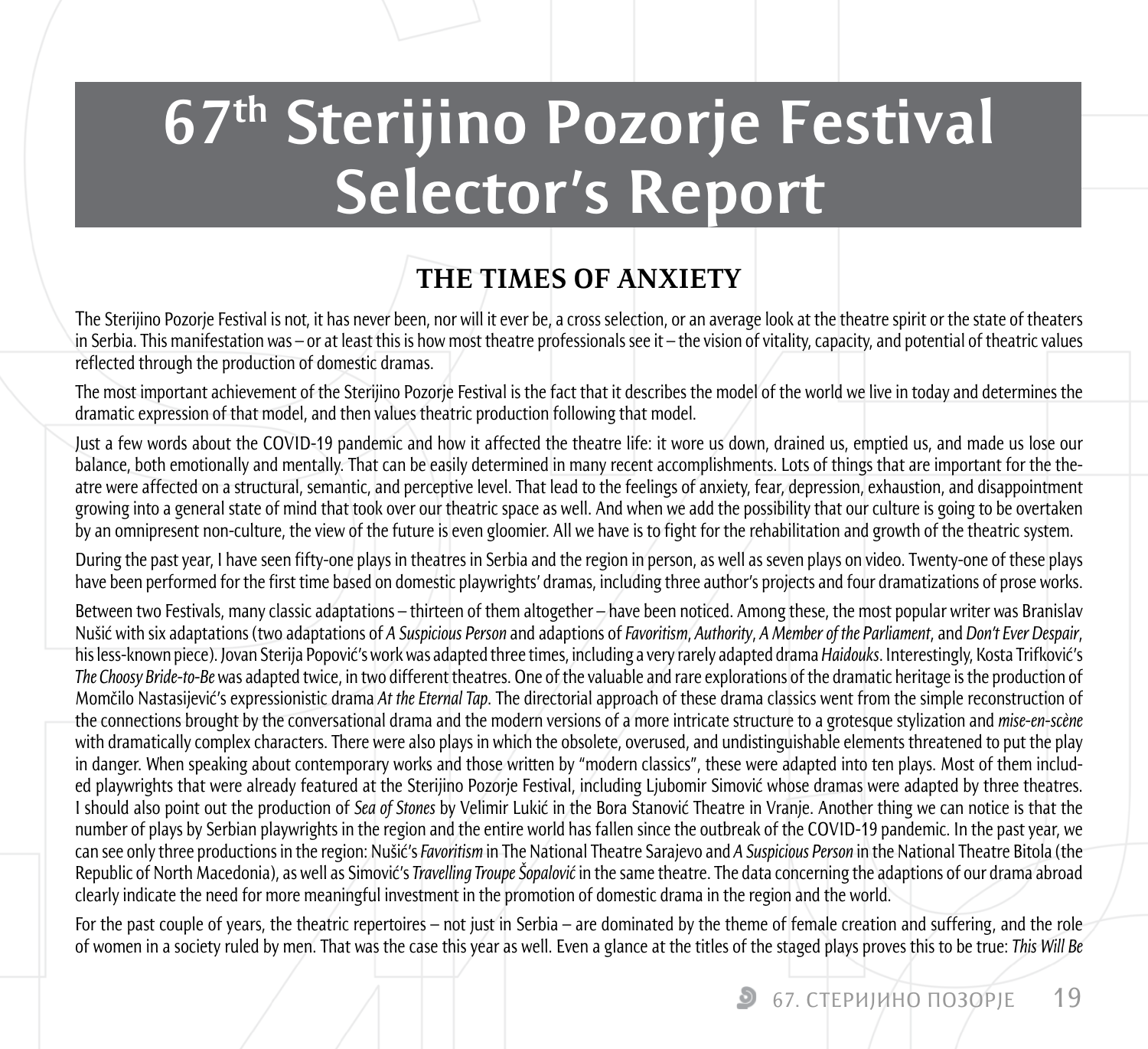# **67th Sterijino Pozorje Festival Selector's Report**

# **THE TIMES OF ANXIETY**

The Sterijino Pozorie Festival is not, it has never been, nor will it ever be, a cross selection, or an average look at the theatre spirit or the state of theaters in Serbia. This manifestation was – or at least this is how most theatre professionals see it – the vision of vitality, capacity, and potential of theatric values reflected through the production of domestic dramas.

The most important achievement of the Sterijino Pozorje Festival is the fact that it describes the model of the world we live in today and determines the dramatic expression of that model, and then values theatric production following that model.

Just a few words about the COVID-19 pandemic and how it affected the theatre life: it wore us down, drained us, emptied us, and made us lose our balance, both emotionally and mentally. That can be easily determined in many recent accomplishments. Lots of things that are important for the theatre were affected on a structural, semantic, and perceptive level. That lead to the feelings of anxiety, fear, depression, exhaustion, and disappointment growing into a general state of mind that took over our theatric space as well. And when we add the possibility that our culture is going to be overtaken by an omnipresent non-culture, the view of the future is even gloomier. All we have is to fight for the rehabilitation and growth of the theatric system.

During the past year, I have seen fifty-one plays in theatres in Serbia and the region in person, as well as seven plays on video. Twenty-one of these plays have been performed for the first time based on domestic playwrights' dramas, including three author's projects and four dramatizations of prose works.

Between two Festivals, many classic adaptations – thirteen of them altogether – have been noticed. Among these, the most popular writer was Branislav Nušić with six adaptations (two adaptations of *A Suspicious Person* and adaptions of *Favoritism*, *Authority*, *A Member of the Parliament*, and *Don't Ever Despair*, his less-known piece). Jovan Sterija Popović's work was adapted three times, including a very rarely adapted drama *Haidouks*. Interestingly, Kosta Trifković's *The Choosy Bride-to-Be* was adapted twice, in two different theatres. One of the valuable and rare explorations of the dramatic heritage is the production of Momčilo Nastasijević's expressionistic drama *At the Eternal Tap*. The directorial approach of these drama classics went from the simple reconstruction of the connections brought by the conversational drama and the modern versions of a more intricate structure to a grotesque stylization and *mise-en-scène* with dramatically complex characters. There were also plays in which the obsolete, overused, and undistinguishable elements threatened to put the play in danger. When speaking about contemporary works and those written by "modern classics", these were adapted into ten plays. Most of them included playwrights that were already featured at the Sterijino Pozorje Festival, including Ljubomir Simović whose dramas were adapted by three theatres. I should also point out the production of *Sea of Stones* by Velimir Lukić in the Bora Stanović Theatre in Vranje. Another thing we can notice is that the number of plays by Serbian playwrights in the region and the entire world has fallen since the outbreak of the COVID-19 pandemic. In the past year, we can see only three productions in the region: Nušić's *Favoritism* in The National Theatre Sarajevo and *A Suspicious Person* in the National Theatre Bitola (the Republic of North Macedonia), as well as Simović's *Travelling Troupe Šopalović* in the same theatre. The data concerning the adaptions of our drama abroad clearly indicate the need for more meaningful investment in the promotion of domestic drama in the region and the world.

For the past couple of years, the theatric repertoires – not just in Serbia – are dominated by the theme of female creation and suffering, and the role of women in a society ruled by men. That was the case this year as well. Even a glance at the titles of the staged plays proves this to be true: *This Will Be*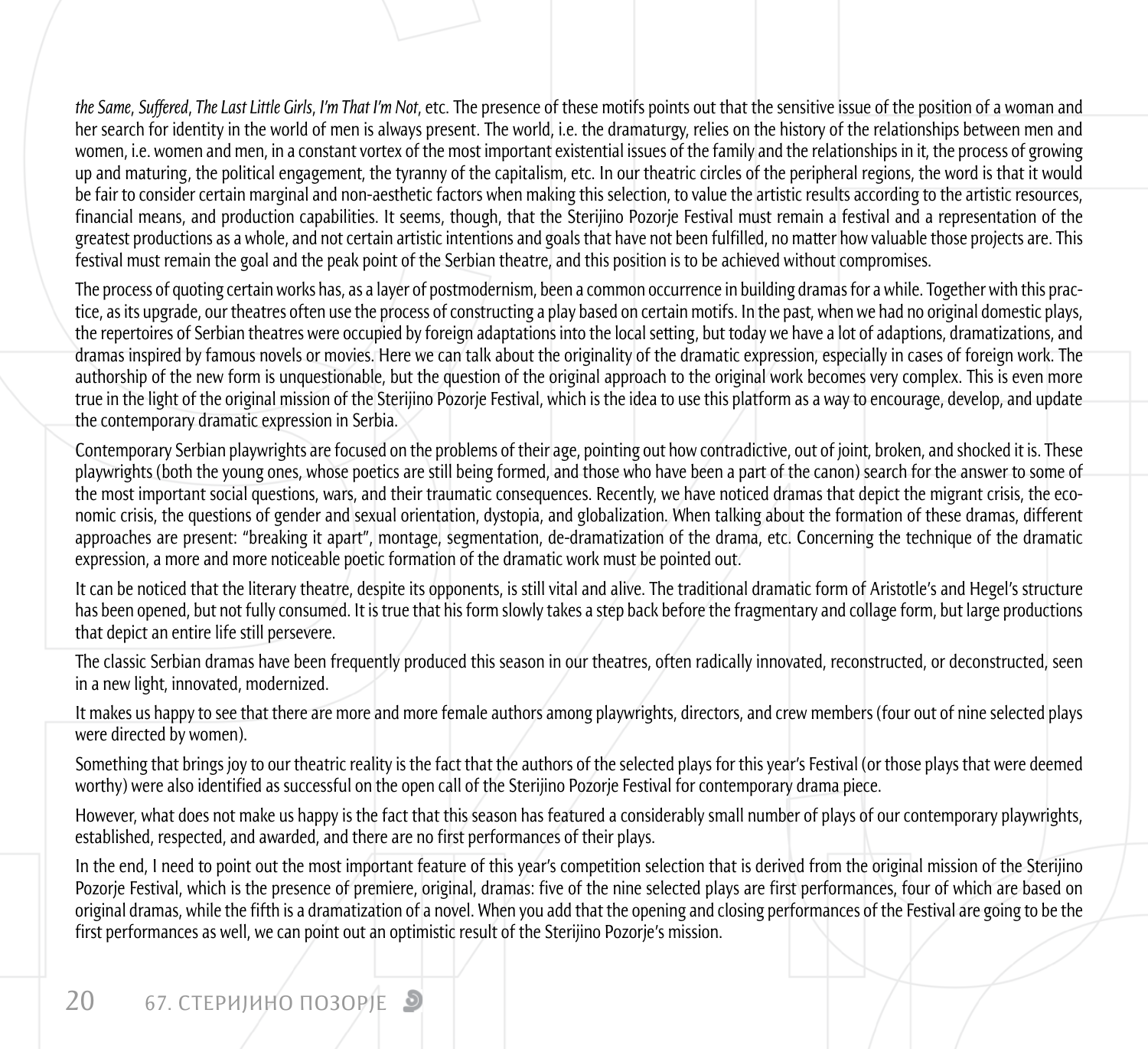*the Same*, *Suffered*, *The Last Little Girls*, *I'm That I'm Not*, etc. The presence of these motifs points out that the sensitive issue of the position of a woman and her search for identity in the world of men is always present. The world, i.e. the dramaturgy, relies on the history of the relationships between men and women, i.e. women and men, in a constant vortex of the most important existential issues of the family and the relationships in it, the process of growing up and maturing, the political engagement, the tyranny of the capitalism, etc. In our theatric circles of the peripheral regions, the word is that it would be fair to consider certain marginal and non-aesthetic factors when making this selection, to value the artistic results according to the artistic resources, financial means, and production capabilities. It seems, though, that the Sterijino Pozorje Festival must remain a festival and a representation of the greatest productions as a whole, and not certain artistic intentions and goals that have not been fulfilled, no matter how valuable those projects are. This festival must remain the goal and the peak point of the Serbian theatre, and this position is to be achieved without compromises.

The process of quoting certain works has, as a layer of postmodernism, been a common occurrence in building dramas for a while. Together with this practice, as its upgrade, our theatres often use the process of constructing a play based on certain motifs. In the past, when we had no original domestic plays, the repertoires of Serbian theatres were occupied by foreign adaptations into the local setting, but today we have a lot of adaptions, dramatizations, and dramas inspired by famous novels or movies. Here we can talk about the originality of the dramatic expression, especially in cases of foreign work. The authorship of the new form is unquestionable, but the question of the original approach to the original work becomes very complex. This is even more true in the light of the original mission of the Sterijino Pozorje Festival, which is the idea to use this platform as a way to encourage, develop, and update the contemporary dramatic expression in Serbia.

Contemporary Serbian playwrights are focused on the problems of their age, pointing out how contradictive, out of joint, broken, and shocked it is. These playwrights (both the young ones, whose poetics are still being formed, and those who have been a part of the canon) search for the answer to some of the most important social questions, wars, and their traumatic consequences. Recently, we have noticed dramas that depict the migrant crisis, the economic crisis, the questions of gender and sexual orientation, dystopia, and globalization. When talking about the formation of these dramas, different approaches are present: "breaking it apart", montage, segmentation, de-dramatization of the drama, etc. Concerning the technique of the dramatic expression, a more and more noticeable poetic formation of the dramatic work must be pointed out.

It can be noticed that the literary theatre, despite its opponents, is still vital and alive. The traditional dramatic form of Aristotle's and Hegel's structure has been opened, but not fully consumed. It is true that his form slowly takes a step back before the fragmentary and collage form, but large productions that depict an entire life still persevere.

The classic Serbian dramas have been frequently produced this season in our theatres, often radically innovated, reconstructed, or deconstructed, seen in a new light, innovated, modernized.

It makes us happy to see that there are more and more female authors among playwrights, directors, and crew members (four out of nine selected plays were directed by women).

Something that brings joy to our theatric reality is the fact that the authors of the selected plays for this year's Festival (or those plays that were deemed worthy) were also identified as successful on the open call of the Sterijino Pozorje Festival for contemporary drama piece.

However, what does not make us happy is the fact that this season has featured a considerably small number of plays of our contemporary playwrights, established, respected, and awarded, and there are no first performances of their plays.

In the end, I need to point out the most important feature of this year's competition selection that is derived from the original mission of the Sterijino Pozorje Festival, which is the presence of premiere, original, dramas: five of the nine selected plays are first performances, four of which are based on original dramas, while the fifth is a dramatization of a novel. When you add that the opening and closing performances of the Festival are going to be the first performances as well, we can point out an optimistic result of the Sterijino Pozorje's mission.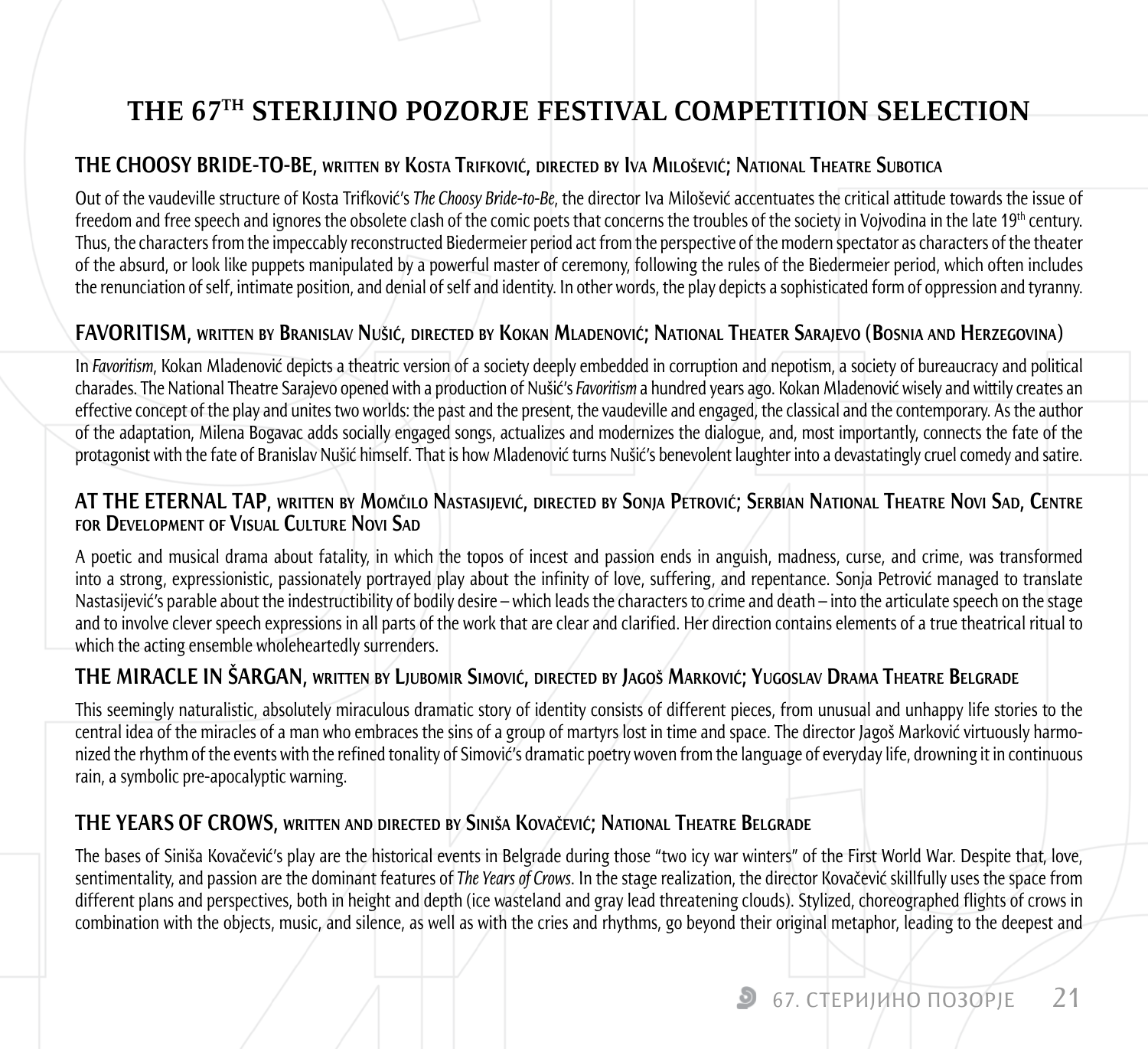## **THE 67TH STERIJINO POZORJE FESTIVAL COMPETITION SELECTION**

#### **THE CHOOSY BRIDE-TO-BE, written by Kosta Trifković, directed by Iva Milošević; National Theatre Subotica**

Out of the vaudeville structure of Kosta Trifković's *The Choosy Bride-to-Be*, the director Iva Milošević accentuates the critical attitude towards the issue of freedom and free speech and ignores the obsolete clash of the comic poets that concerns the troubles of the society in Vojvodina in the late 19<sup>th</sup> century. Thus, the characters from the impeccably reconstructed Biedermeier period act from the perspective of the modern spectator as characters of the theater of the absurd, or look like puppets manipulated by a powerful master of ceremony, following the rules of the Biedermeier period, which often includes the renunciation of self, intimate position, and denial of self and identity. In other words, the play depicts a sophisticated form of oppression and tyranny.

#### **FAVORITISM, written by Branislav Nušić, directed by Kokan Mladenović; National Theater Sarajevo (Bosnia and Herzegovina)**

In *Favoritism*, Kokan Mladenović depicts a theatric version of a society deeply embedded in corruption and nepotism, a society of bureaucracy and political charades. The National Theatre Sarajevo opened with a production of Nušić's *Favoritism* a hundred years ago. Kokan Mladenović wisely and wittily creates an effective concept of the play and unites two worlds: the past and the present, the vaudeville and engaged, the classical and the contemporary. As the author of the adaptation, Milena Bogavac adds socially engaged songs, actualizes and modernizes the dialogue, and, most importantly, connects the fate of the protagonist with the fate of Branislav Nušić himself. That is how Mladenović turns Nušić's benevolent laughter into a devastatingly cruel comedy and satire.

#### **AT THE ETERNAL TAP, written by Momčilo Nastasijević, directed by Sonja Petrović; Serbian National Theatre Novi Sad, Centre for Development of Visual Culture Novi Sad**

A poetic and musical drama about fatality, in which the topos of incest and passion ends in anguish, madness, curse, and crime, was transformed into a strong, expressionistic, passionately portrayed play about the infinity of love, suffering, and repentance. Sonja Petrović managed to translate Nastasijević's parable about the indestructibility of bodily desire – which leads the characters to crime and death – into the articulate speech on the stage and to involve clever speech expressions in all parts of the work that are clear and clarified. Her direction contains elements of a true theatrical ritual to which the acting ensemble wholeheartedly surrenders.

#### **THE MIRACLE IN ŠARGAN, written by Ljubomir Simović, directed by Jagoš Marković; Yugoslav Drama Theatre Belgrade**

This seemingly naturalistic, absolutely miraculous dramatic story of identity consists of different pieces, from unusual and unhappy life stories to the central idea of the miracles of a man who embraces the sins of a group of martyrs lost in time and space. The director Jagoš Marković virtuously harmonized the rhythm of the events with the refined tonality of Simović's dramatic poetry woven from the language of everyday life, drowning it in continuous rain, a symbolic pre-apocalyptic warning.

#### **THE YEARS OF CROWS, written and directed by Siniša Kovačević; National Theatre Belgrade**

The bases of Siniša Kovačević's play are the historical events in Belgrade during those "two icy war winters" of the First World War. Despite that, love, sentimentality, and passion are the dominant features of *The Years of Crows*. In the stage realization, the director Kovačević skillfully uses the space from different plans and perspectives, both in height and depth (ice wasteland and gray lead threatening clouds). Stylized, choreographed flights of crows in combination with the objects, music, and silence, as well as with the cries and rhythms, go beyond their original metaphor, leading to the deepest and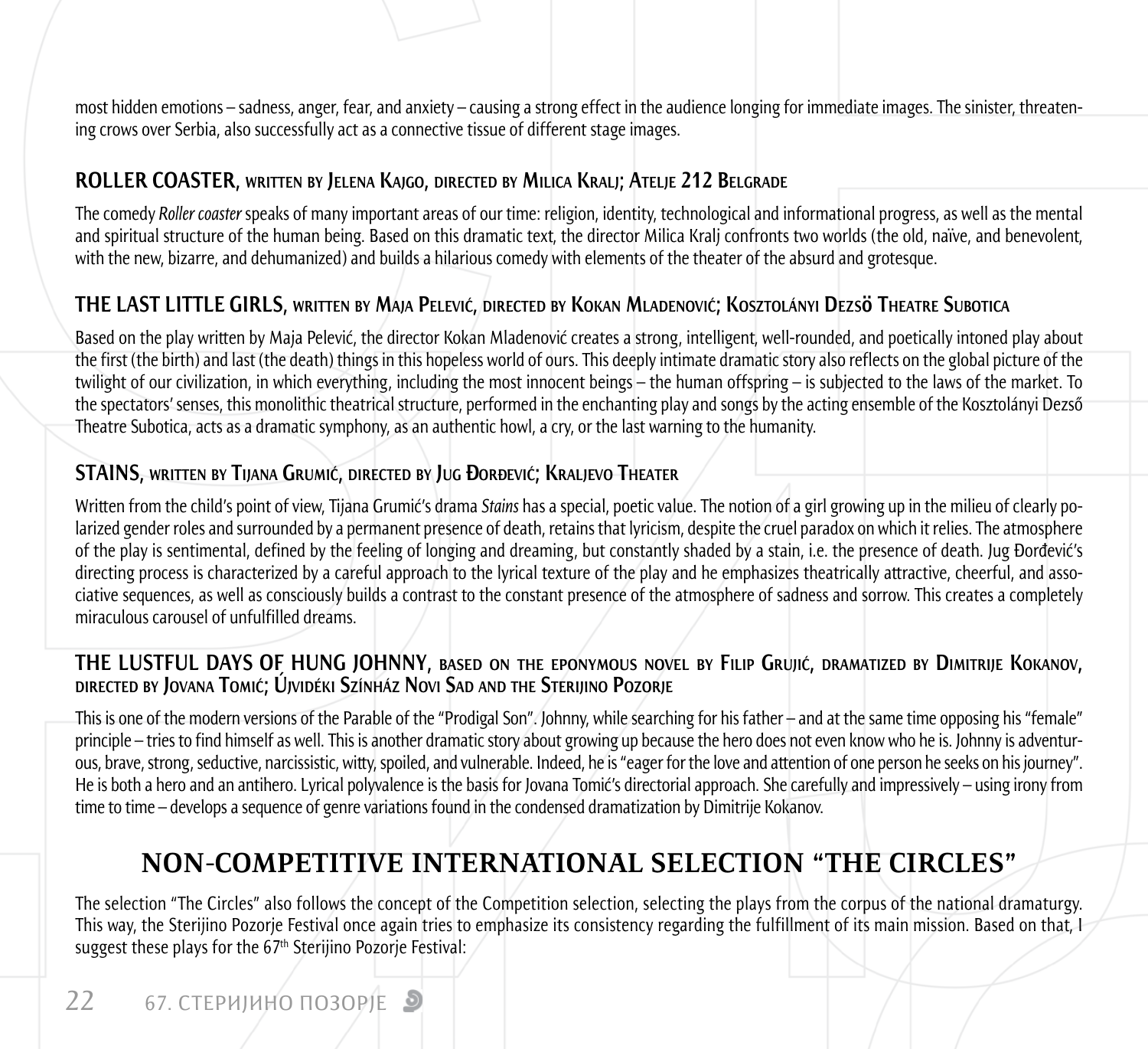most hidden emotions – sadness, anger, fear, and anxiety – causing a strong effect in the audience longing for immediate images. The sinister, threatening crows over Serbia, also successfully act as a connective tissue of different stage images.

#### **ROLLER COASTER, written by Jelena Kajgo, directed by Milica Kralj; Atelje 212 Belgrade**

The comedy *Roller coaster* speaks of many important areas of our time: religion, identity, technological and informational progress, as well as the mental and spiritual structure of the human being. Based on this dramatic text, the director Milica Kralj confronts two worlds (the old, naïve, and benevolent, with the new, bizarre, and dehumanized) and builds a hilarious comedy with elements of the theater of the absurd and grotesque.

#### **THE LAST LITTLE GIRLS, written by Maja Pelević, directed by Kokan Mladenović; Kosztolányi Dezsö Theatre Subotica**

Based on the play written by Maja Pelević, the director Kokan Mladenović creates a strong, intelligent, well-rounded, and poetically intoned play about the first (the birth) and last (the death) things in this hopeless world of ours. This deeply intimate dramatic story also reflects on the global picture of the twilight of our civilization, in which everything, including the most innocent beings – the human offspring – is subjected to the laws of the market. To the spectators' senses, this monolithic theatrical structure, performed in the enchanting play and songs by the acting ensemble of the Kosztolányi Dezső Theatre Subotica, acts as a dramatic symphony, as an authentic howl, a cry, or the last warning to the humanity.

#### **STAINS, written by Tijana Grumić, directed by Jug Đorđević; Kraljevo Theater**

Written from the child's point of view, Tijana Grumić's drama *Stains* has a special, poetic value. The notion of a girl growing up in the milieu of clearly polarized gender roles and surrounded by a permanent presence of death, retains that lyricism, despite the cruel paradox on which it relies. The atmosphere of the play is sentimental, defined by the feeling of longing and dreaming, but constantly shaded by a stain, i.e. the presence of death. Jug Đorđević's directing process is characterized by a careful approach to the lyrical texture of the play and he emphasizes theatrically attractive, cheerful, and associative sequences, as well as consciously builds a contrast to the constant presence of the atmosphere of sadness and sorrow. This creates a completely miraculous carousel of unfulfilled dreams.

# THE LUSTFUL DAYS OF HUNG JOHNNY, BASED ON THE EPONYMOUS NOVEL BY FILIP GRUJIĆ, DRAMATIZED BY DIMITRIJE KOKANOV,<br>directed by Jovana Tomić; Újvidéki Színház Novi Sad and the Sterijino Pozorje

This is one of the modern versions of the Parable of the "Prodigal Son". Johnny, while searching for his father – and at the same time opposing his "female" principle – tries to find himself as well. This is another dramatic story about growing up because the hero does not even know who he is. Johnny is adventurous, brave, strong, seductive, narcissistic, witty, spoiled, and vulnerable. Indeed, he is "eager for the love and attention of one person he seeks on his journey". He is both a hero and an antihero. Lyrical polyvalence is the basis for Jovana Tomić's directorial approach. She carefully and impressively – using irony from time to time – develops a sequence of genre variations found in the condensed dramatization by Dimitrije Kokanov.

## **NON-COMPETITIVE INTERNATIONAL SELECTION "THE CIRCLES"**

The selection "The Circles" also follows the concept of the Competition selection, selecting the plays from the corpus of the national dramaturgy. This way, the Sterijino Pozorje Festival once again tries to emphasize its consistency regarding the fulfillment of its main mission. Based on that, I suggest these plays for the 67<sup>th</sup> Sterijino Pozorie Festival: